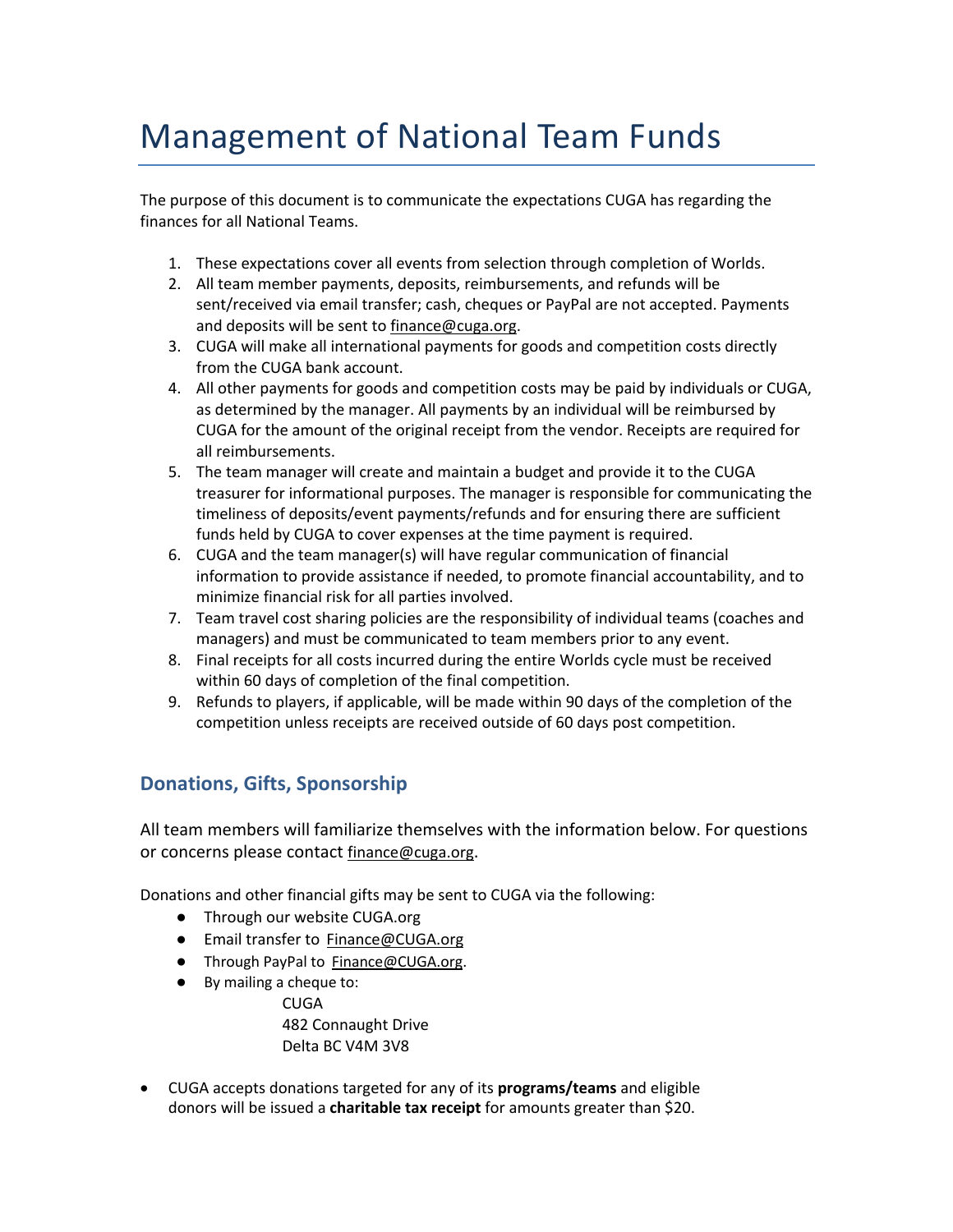## Management of National Team Funds

The purpose of this document is to communicate the expectations CUGA has regarding the finances for all National Teams.

- 1. These expectations cover all events from selection through completion of Worlds.
- 2. All team member payments, deposits, reimbursements, and refunds will be sent/received via email transfer; cash, cheques or PayPal are not accepted. Payments and deposits will be sent to finance@cuga.org.
- 3. CUGA will make all international payments for goods and competition costs directly from the CUGA bank account.
- 4. All other payments for goods and competition costs may be paid by individuals or CUGA, as determined by the manager. All payments by an individual will be reimbursed by CUGA for the amount of the original receipt from the vendor. Receipts are required for all reimbursements.
- 5. The team manager will create and maintain a budget and provide it to the CUGA treasurer for informational purposes. The manager is responsible for communicating the timeliness of deposits/event payments/refunds and for ensuring there are sufficient funds held by CUGA to cover expenses at the time payment is required.
- 6. CUGA and the team manager(s) will have regular communication of financial information to provide assistance if needed, to promote financial accountability, and to minimize financial risk for all parties involved.
- 7. Team travel cost sharing policies are the responsibility of individual teams (coaches and managers) and must be communicated to team members prior to any event.
- 8. Final receipts for all costs incurred during the entire Worlds cycle must be received within 60 days of completion of the final competition.
- 9. Refunds to players, if applicable, will be made within 90 days of the completion of the competition unless receipts are received outside of 60 days post competition.

## **Donations, Gifts, Sponsorship**

All team members will familiarize themselves with the information below. For questions or concerns please contact finance@cuga.org.

Donations and other financial gifts may be sent to CUGA via the following:

- Through our website CUGA.org
- Email transfer to Finance@CUGA.org
- Through PayPal to Finance@CUGA.org.
- By mailing a cheque to: **CUGA** 482 Connaught Drive Delta BC V4M 3V8
- CUGA accepts donations targeted for any of its **programs/teams** and eligible donors will be issued a **charitable tax receipt** for amounts greater than \$20.